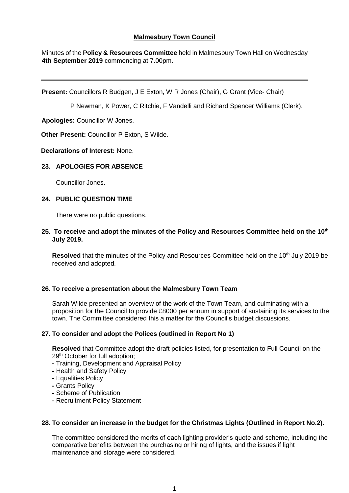## **Malmesbury Town Council**

Minutes of the **Policy & Resources Committee** held in Malmesbury Town Hall on Wednesday **4th September 2019** commencing at 7.00pm.

**Present:** Councillors R Budgen, J E Exton, W R Jones (Chair), G Grant (Vice- Chair)

P Newman, K Power, C Ritchie, F Vandelli and Richard Spencer Williams (Clerk).

**Apologies:** Councillor W Jones.

**Other Present:** Councillor P Exton, S Wilde.

 **Declarations of Interest:** None.

## **23. APOLOGIES FOR ABSENCE**

Councillor Jones.

## **24. PUBLIC QUESTION TIME**

There were no public questions.

## **25. To receive and adopt the minutes of the Policy and Resources Committee held on the 10th July 2019.**

**Resolved** that the minutes of the Policy and Resources Committee held on the 10<sup>th</sup> July 2019 be received and adopted.

# **26. To receive a presentation about the Malmesbury Town Team**

Sarah Wilde presented an overview of the work of the Town Team, and culminating with a proposition for the Council to provide £8000 per annum in support of sustaining its services to the town. The Committee considered this a matter for the Council's budget discussions.

# **27. To consider and adopt the Polices (outlined in Report No 1)**

**Resolved** that Committee adopt the draft policies listed, for presentation to Full Council on the 29<sup>th</sup> October for full adoption:

- **-** Training, Development and Appraisal Policy
- **-** Health and Safety Policy
- **-** Equalities Policy
- **-** Grants Policy
- **-** Scheme of Publication
- **-** Recruitment Policy Statement

# **28. To consider an increase in the budget for the Christmas Lights (Outlined in Report No.2).**

The committee considered the merits of each lighting provider's quote and scheme, including the comparative benefits between the purchasing or hiring of lights, and the issues if light maintenance and storage were considered.